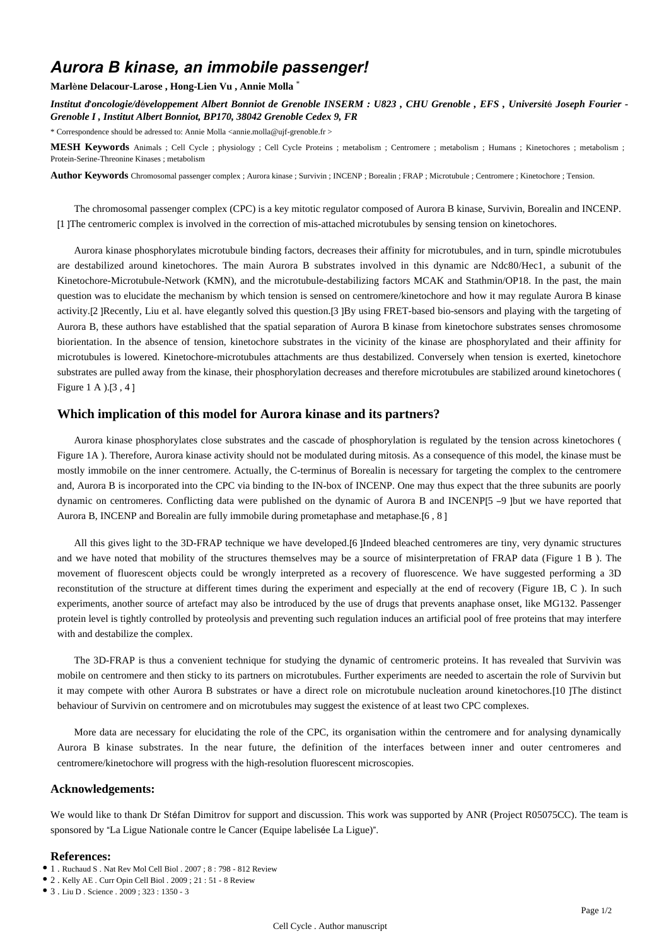# *Aurora B kinase, an immobile passenger!*

#### **Marl**è**ne Delacour-Larose , Hong-Lien Vu , Annie Molla** \*

*Institut d*'*oncologie/d*é*veloppement Albert Bonniot de Grenoble INSERM : U823 , CHU Grenoble , EFS , Universit*é *Joseph Fourier - Grenoble I , Institut Albert Bonniot, BP170, 38042 Grenoble Cedex 9, FR*

\* Correspondence should be adressed to: Annie Molla <annie.molla@ujf-grenoble.fr >

**MESH Keywords** Animals ; Cell Cycle ; physiology ; Cell Cycle Proteins ; metabolism ; Centromere ; metabolism ; Humans ; Kinetochores ; metabolism ; Protein-Serine-Threonine Kinases ; metabolism

**Author Keywords** Chromosomal passenger complex ; Aurora kinase ; Survivin ; INCENP ; Borealin ; FRAP ; Microtubule ; Centromere ; Kinetochore ; Tension.

The chromosomal passenger complex (CPC) is a key mitotic regulator composed of Aurora B kinase, Survivin, Borealin and INCENP. [1 ]The centromeric complex is involved in the correction of mis-attached microtubules by sensing tension on kinetochores.

Aurora kinase phosphorylates microtubule binding factors, decreases their affinity for microtubules, and in turn, spindle microtubules are destabilized around kinetochores. The main Aurora B substrates involved in this dynamic are Ndc80/Hec1, a subunit of the Kinetochore-Microtubule-Network (KMN), and the microtubule-destabilizing factors MCAK and Stathmin/OP18. In the past, the main question was to elucidate the mechanism by which tension is sensed on centromere/kinetochore and how it may regulate Aurora B kinase activity.[2 ]Recently, Liu et al. have elegantly solved this question.[3 ]By using FRET-based bio-sensors and playing with the targeting of Aurora B, these authors have established that the spatial separation of Aurora B kinase from kinetochore substrates senses chromosome biorientation. In the absence of tension, kinetochore substrates in the vicinity of the kinase are phosphorylated and their affinity for microtubules is lowered. Kinetochore-microtubules attachments are thus destabilized. Conversely when tension is exerted, kinetochore substrates are pulled away from the kinase, their phosphorylation decreases and therefore microtubules are stabilized around kinetochores ( Figure 1 A ).[3 , 4 ]

## **Which implication of this model for Aurora kinase and its partners?**

Aurora kinase phosphorylates close substrates and the cascade of phosphorylation is regulated by the tension across kinetochores ( Figure 1A ). Therefore, Aurora kinase activity should not be modulated during mitosis. As a consequence of this model, the kinase must be mostly immobile on the inner centromere. Actually, the C-terminus of Borealin is necessary for targeting the complex to the centromere and, Aurora B is incorporated into the CPC via binding to the IN-box of INCENP. One may thus expect that the three subunits are poorly dynamic on centromeres. Conflicting data were published on the dynamic of Aurora B and INCENP[5 –9 ]but we have reported that Aurora B, INCENP and Borealin are fully immobile during prometaphase and metaphase.[6 , 8 ]

All this gives light to the 3D-FRAP technique we have developed.[6 ]Indeed bleached centromeres are tiny, very dynamic structures and we have noted that mobility of the structures themselves may be a source of misinterpretation of FRAP data (Figure 1 B ). The movement of fluorescent objects could be wrongly interpreted as a recovery of fluorescence. We have suggested performing a 3D reconstitution of the structure at different times during the experiment and especially at the end of recovery (Figure 1B, C ). In such experiments, another source of artefact may also be introduced by the use of drugs that prevents anaphase onset, like MG132. Passenger protein level is tightly controlled by proteolysis and preventing such regulation induces an artificial pool of free proteins that may interfere with and destabilize the complex.

The 3D-FRAP is thus a convenient technique for studying the dynamic of centromeric proteins. It has revealed that Survivin was mobile on centromere and then sticky to its partners on microtubules. Further experiments are needed to ascertain the role of Survivin but it may compete with other Aurora B substrates or have a direct role on microtubule nucleation around kinetochores.[10 ]The distinct behaviour of Survivin on centromere and on microtubules may suggest the existence of at least two CPC complexes.

More data are necessary for elucidating the role of the CPC, its organisation within the centromere and for analysing dynamically Aurora B kinase substrates. In the near future, the definition of the interfaces between inner and outer centromeres and centromere/kinetochore will progress with the high-resolution fluorescent microscopies.

#### **Acknowledgements:**

We would like to thank Dr Stéfan Dimitrov for support and discussion. This work was supported by ANR (Project R05075CC). The team is sponsored by "La Ligue Nationale contre le Cancer (Equipe labelisée La Ligue)".

### **References:**

- 1 . Ruchaud S . Nat Rev Mol Cell Biol . 2007 ; 8 : 798 812 Review
- 2 . Kelly AE . Curr Opin Cell Biol . 2009 ; 21 : 51 8 Review
- 3 . Liu D . Science . 2009 ; 323 : 1350 3